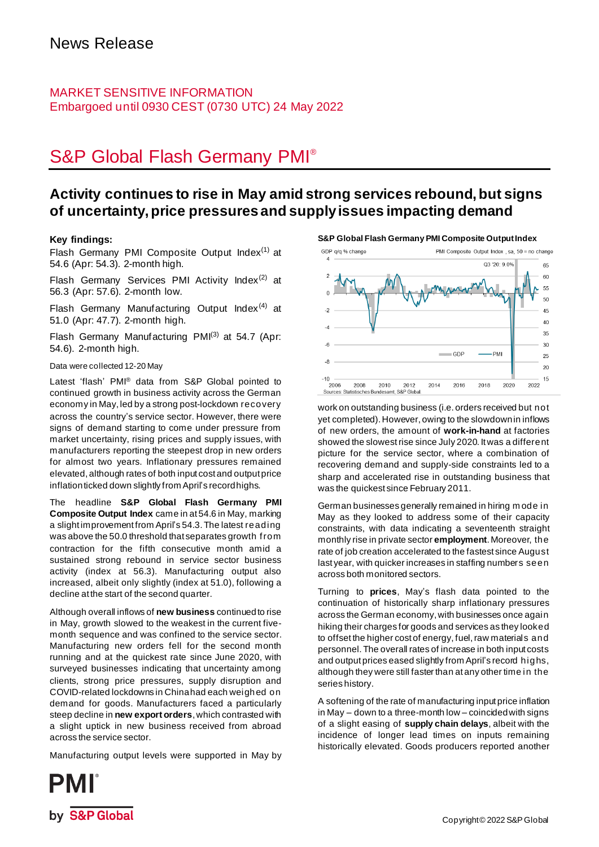### MARKET SENSITIVE INFORMATION Embargoed until 0930 CEST (0730 UTC) 24 May 2022

# S&P Global Flash Germany PMI®

## **Activity continues to rise in May amid strong services rebound, but signs of uncertainty, price pressures and supply issues impacting demand**

### **Key findings:**

Flash Germany PMI Composite Output Index $(1)$  at 54.6 (Apr: 54.3). 2-month high.

Flash Germany Services PMI Activity Index $(2)$  at 56.3 (Apr: 57.6). 2-month low.

Flash Germany Manufacturing Output Index $(4)$  at 51.0 (Apr: 47.7). 2-month high.

Flash Germany Manufacturing PMI<sup>(3)</sup> at 54.7 (Apr: 54.6). 2-month high.

### Data were collected 12-20 May

Latest 'flash' PMI<sup>®</sup> data from S&P Global pointed to continued growth in business activity across the German economy in May, led by a strong post-lockdown recovery across the country's service sector. However, there were signs of demand starting to come under pressure from market uncertainty, rising prices and supply issues, with manufacturers reporting the steepest drop in new orders for almost two years. Inflationary pressures remained elevated, although rates of both input cost and output price inflation ticked down slightly from April's record highs.

The headline **S&P Global Flash Germany PMI Composite Output Index** came in at 54.6 in May, marking a slight improvement from April's 54.3.The latest reading was above the 50.0 threshold that separates growth from contraction for the fifth consecutive month amid a sustained strong rebound in service sector business activity (index at 56.3). Manufacturing output also increased, albeit only slightly (index at 51.0), following a decline at the start of the second quarter.

Although overall inflows of **new business** continuedto rise in May, growth slowed to the weakest in the current fivemonth sequence and was confined to the service sector. Manufacturing new orders fell for the second month running and at the quickest rate since June 2020, with surveyed businesses indicating that uncertainty among clients, strong price pressures, supply disruption and COVID-related lockdowns in Chinahad each weighed on demand for goods. Manufacturers faced a particularly steep decline in **new export orders**, which contrasted with a slight uptick in new business received from abroad across the service sector.

Manufacturing output levels were supported in May by





work on outstanding business (i.e. orders received but not yet completed). However, owing to the slowdown in inflows of new orders, the amount of **work-in-hand** at factories showed the slowestrise since July 2020. It was a different picture for the service sector, where a combination of recovering demand and supply-side constraints led to a sharp and accelerated rise in outstanding business that was the quickest since February 2011.

German businesses generally remained in hiring m ode in May as they looked to address some of their capacity constraints, with data indicating a seventeenth straight monthly rise in private sector **employment**. Moreover, the rate of job creation accelerated to the fastest since August last year, with quicker increases in staffing numbers seen across both monitored sectors.

Turning to **prices**, May's flash data pointed to the continuation of historically sharp inflationary pressures across the German economy, with businesses once again hiking their charges for goods and services as they looked to offset the higher cost of energy, fuel, raw materials and personnel. The overall rates of increase in both input costs and output prices eased slightly from April's record highs, although they were still faster than at any other time in the series history.

A softening of the rate of manufacturing input price inflation in May – down to a three-month low – coincided with signs of a slight easing of **supply chain delays**, albeit with the incidence of longer lead times on inputs remaining historically elevated. Goods producers reported another

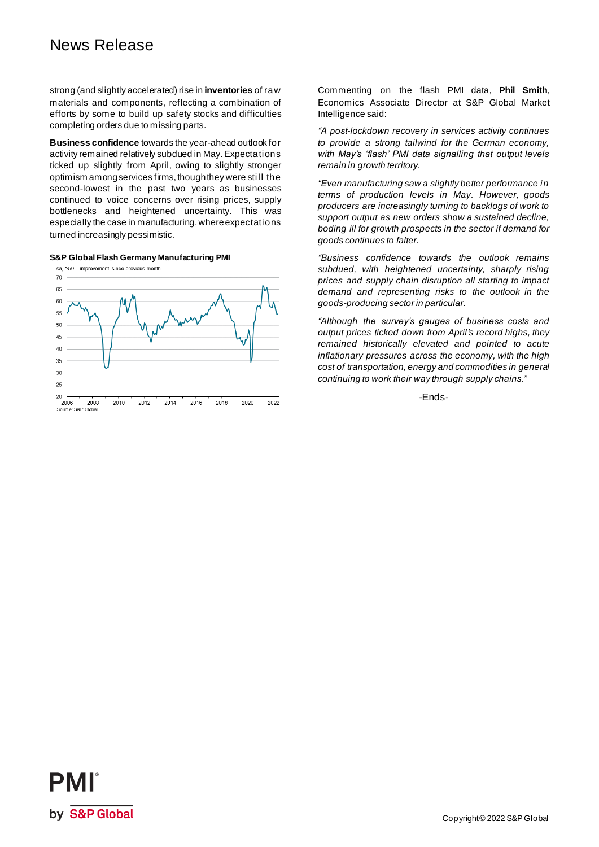# News Release

strong (and slightly accelerated) rise in **inventories** of raw materials and components, reflecting a combination of efforts by some to build up safety stocks and difficulties completing orders due to missing parts.

**Business confidence** towards the year-ahead outlook for activity remained relatively subdued in May.Expectations ticked up slightly from April, owing to slightly stronger optimism among services firms, though they were still the second-lowest in the past two years as businesses continued to voice concerns over rising prices, supply bottlenecks and heightened uncertainty. This was especially the case in manufacturing, where expectations turned increasingly pessimistic.

### **S&P Global Flash Germany Manufacturing PMI**



Commenting on the flash PMI data, **Phil Smith**, Economics Associate Director at S&P Global Market Intelligence said:

*"A post-lockdown recovery in services activity continues to provide a strong tailwind for the German economy, with May's 'flash' PMI data signalling that output levels remain in growth territory.* 

*"Even manufacturing saw a slightly better performance in terms of production levels in May. However, goods producers are increasingly turning to backlogs of work to support output as new orders show a sustained decline, boding ill for growth prospects in the sector if demand for goods continues to falter.* 

*"Business confidence towards the outlook remains subdued, with heightened uncertainty, sharply rising prices and supply chain disruption all starting to impact demand and representing risks to the outlook in the goods-producing sector in particular.* 

*"Although the survey's gauges of business costs and output prices ticked down from April's record highs, they remained historically elevated and pointed to acute inflationary pressures across the economy, with the high cost of transportation, energy and commodities in general continuing to work their way through supply chains."*

-Ends-